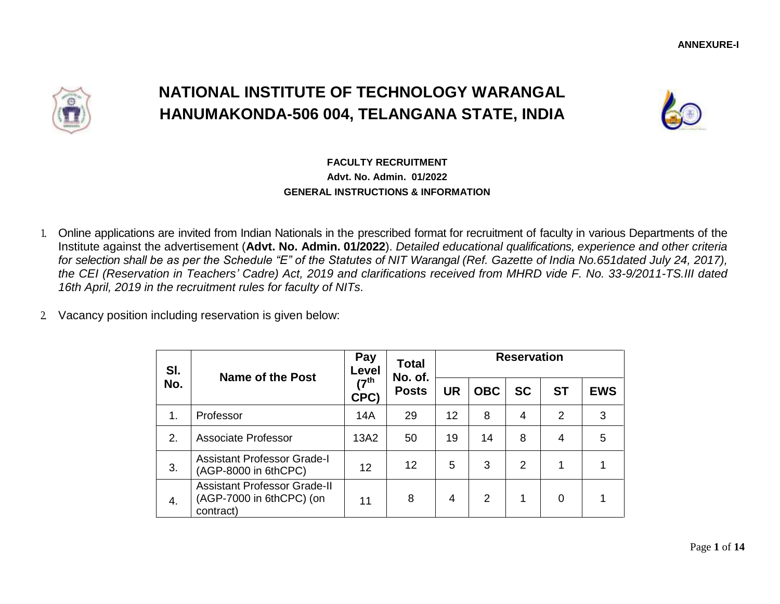

# **NATIONAL INSTITUTE OF TECHNOLOGY WARANGAL HANUMAKONDA-506 004, TELANGANA STATE, INDIA**



## **FACULTY RECRUITMENT Advt. No. Admin. 01/2022 GENERAL INSTRUCTIONS & INFORMATION**

- 1. Online applications are invited from Indian Nationals in the prescribed format for recruitment of faculty in various Departments of the Institute against the advertisement (**Advt. No. Admin. 01/2022**). *Detailed educational qualifications, experience and other criteria for selection shall be as per the Schedule "E" of the Statutes of NIT Warangal (Ref. Gazette of India No.651dated July 24, 2017), the CEI (Reservation in Teachers' Cadre) Act, 2019 and clarifications received from MHRD vide F. No. 33-9/2011-TS.III dated 16th April, 2019 in the recruitment rules for faculty of NITs.*
- 2. Vacancy position including reservation is given below:

| SI. | Name of the Post                                                             | Pay<br>Level           | <b>Total</b><br>No. of. | <b>Reservation</b> |            |           |                |            |  |  |
|-----|------------------------------------------------------------------------------|------------------------|-------------------------|--------------------|------------|-----------|----------------|------------|--|--|
| No. |                                                                              | ( $7^{\sf th}$<br>CPC) | <b>Posts</b>            | <b>UR</b>          | <b>OBC</b> | <b>SC</b> | <b>ST</b>      | <b>EWS</b> |  |  |
| 1.  | Professor                                                                    | 14A                    | 29                      | 12                 | 8          | 4         | $\overline{2}$ | 3          |  |  |
| 2.  | <b>Associate Professor</b>                                                   | 13A2                   | 50                      | 19                 | 14         | 8         | 4              | 5          |  |  |
| 3.  | <b>Assistant Professor Grade-I</b><br>(AGP-8000 in 6thCPC)                   | 12                     | 12                      | 5                  | 3          | 2         |                |            |  |  |
| 4.  | <b>Assistant Professor Grade-II</b><br>(AGP-7000 in 6thCPC) (on<br>contract) | 11                     | 8                       | 4                  | 2          | 1         | 0              |            |  |  |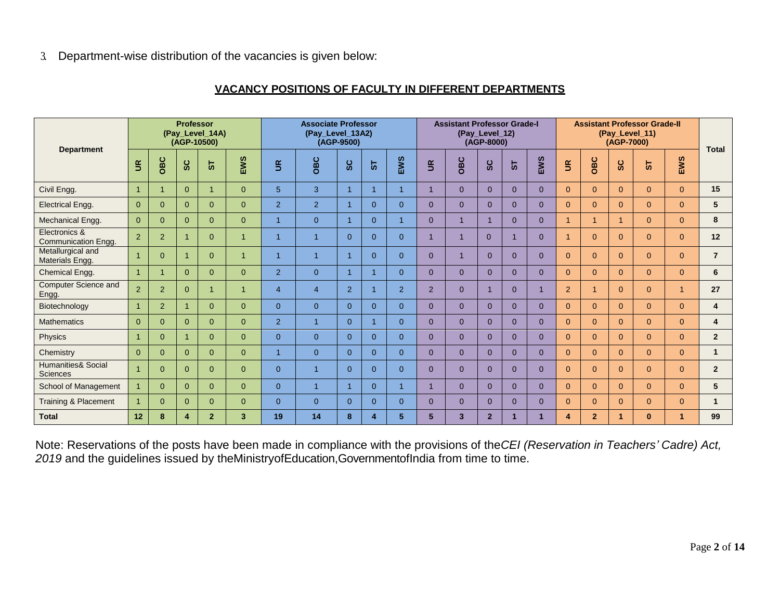3. Department-wise distribution of the vacancies is given below:

#### **VACANCY POSITIONS OF FACULTY IN DIFFERENT DEPARTMENTS**

| <b>Department</b>                     | <b>Professor</b><br>(Pay_Level_14A)<br>(AGP-10500) |              |                         | <b>Associate Professor</b><br>(Pay_Level_13A2)<br>(AGP-9500) |                |                          | <b>Assistant Professor Grade-I</b><br>(Pay_Level_12)<br>(AGP-8000) |                |                |                | <b>Assistant Professor Grade-II</b><br>(Pay_Level_11)<br>(AGP-7000) |                         |                                      |          | <b>Total</b>   |                        |                |                                  |                |                |                |
|---------------------------------------|----------------------------------------------------|--------------|-------------------------|--------------------------------------------------------------|----------------|--------------------------|--------------------------------------------------------------------|----------------|----------------|----------------|---------------------------------------------------------------------|-------------------------|--------------------------------------|----------|----------------|------------------------|----------------|----------------------------------|----------------|----------------|----------------|
|                                       | $\tilde{z}$                                        | OBC          | <b>SC</b>               | 5                                                            | EWS            | $\widetilde{\mathbb{E}}$ | OBC                                                                | ပ္တ            | 5              | EWS            | $\widetilde{\mathbb{R}}$                                            | OBC                     | $\mathbf c$<br>$\boldsymbol{\omega}$ | 5        | EWS            | $\mathbf{g}$           | OBC            | $\circ$<br>$\boldsymbol{\omega}$ | 5              | EWS            |                |
| Civil Engg.                           | $\overline{1}$                                     |              | $\overline{0}$          | $\overline{1}$                                               | $\overline{0}$ | 5 <sup>5</sup>           | 3                                                                  |                | $\overline{1}$ |                |                                                                     | $\Omega$                | $\Omega$                             | $\Omega$ | $\overline{0}$ | $\overline{0}$         | $\overline{0}$ | $\Omega$                         | $\Omega$       | $\overline{0}$ | 15             |
| <b>Electrical Engg.</b>               | $\Omega$                                           | $\Omega$     | $\Omega$                | $\Omega$                                                     | $\overline{0}$ | $\overline{2}$           | 2                                                                  |                | $\Omega$       | $\Omega$       | $\Omega$                                                            | $\Omega$                | $\Omega$                             | $\Omega$ | $\Omega$       | $\Omega$               | $\Omega$       | $\Omega$                         | $\Omega$       | $\mathbf{0}$   | 5              |
| Mechanical Engg.                      | $\Omega$                                           | $\mathbf{0}$ | $\overline{0}$          | $\Omega$                                                     | $\overline{0}$ | $\overline{1}$           | $\mathbf{0}$                                                       |                | $\Omega$       |                | $\Omega$                                                            |                         |                                      | $\Omega$ | $\overline{0}$ |                        | 1              |                                  | $\overline{0}$ | $\overline{0}$ | 8              |
| Electronics &<br>Communication Engg.  | 2                                                  | 2            | $\overline{1}$          | $\Omega$                                                     | $\overline{1}$ | $\overline{1}$           | $\overline{1}$                                                     | $\Omega$       | $\Omega$       | $\Omega$       | $\overline{1}$                                                      |                         | $\Omega$                             |          | $\Omega$       |                        | $\Omega$       | $\Omega$                         | $\Omega$       | $\overline{0}$ | 12             |
| Metallurgical and<br>Materials Engg.  | $\overline{1}$                                     | $\Omega$     | $\overline{1}$          | $\Omega$                                                     | $\overline{1}$ | $\overline{1}$           | $\overline{1}$                                                     |                | $\Omega$       | $\Omega$       | $\Omega$                                                            |                         | $\Omega$                             | $\Omega$ | $\Omega$       | $\Omega$               | $\Omega$       | $\Omega$                         | $\Omega$       | $\overline{0}$ | $\overline{7}$ |
| Chemical Engg.                        | $\blacktriangleleft$                               |              | $\overline{0}$          | $\overline{0}$                                               | $\overline{0}$ | 2                        | $\overline{0}$                                                     | 1              | -1             | $\overline{0}$ | $\Omega$                                                            | $\Omega$                | $\Omega$                             | $\Omega$ | $\overline{0}$ | $\overline{0}$         | $\overline{0}$ | $\Omega$                         | $\Omega$       | $\overline{0}$ | 6              |
| <b>Computer Science and</b><br>Engg.  | 2                                                  | 2            | $\overline{0}$          | 1                                                            | $\overline{1}$ | $\overline{4}$           | $\overline{4}$                                                     | $\overline{2}$ | -1             | 2              | 2                                                                   | $\Omega$                |                                      | $\Omega$ |                | 2                      | 1              | $\Omega$                         | $\Omega$       | $\overline{1}$ | 27             |
| Biotechnology                         | $\blacktriangleleft$                               | 2            | $\overline{1}$          | $\Omega$                                                     | $\overline{0}$ | $\overline{0}$           | $\mathbf{0}$                                                       | $\Omega$       | $\Omega$       | $\Omega$       | $\Omega$                                                            | $\Omega$                | $\Omega$                             | $\Omega$ | $\Omega$       | $\Omega$               | $\Omega$       | $\Omega$                         | $\Omega$       | $\Omega$       | 4              |
| <b>Mathematics</b>                    | $\Omega$                                           | $\Omega$     | $\Omega$                | $\Omega$                                                     | $\overline{0}$ | 2                        | $\overline{1}$                                                     | $\Omega$       | $\overline{1}$ | $\Omega$       | $\Omega$                                                            | $\Omega$                | $\Omega$                             | $\Omega$ | $\mathbf{0}$   | $\Omega$               | $\Omega$       | $\Omega$                         | $\Omega$       | $\overline{0}$ | 4              |
| Physics                               |                                                    | $\Omega$     | $\overline{1}$          | $\Omega$                                                     | $\overline{0}$ | $\overline{0}$           | $\overline{0}$                                                     | $\Omega$       | $\Omega$       | $\Omega$       | $\Omega$                                                            | $\Omega$                | $\Omega$                             | $\Omega$ | $\Omega$       | $\Omega$               | $\Omega$       | $\Omega$                         | $\Omega$       | $\Omega$       | $\overline{2}$ |
| Chemistry                             | $\Omega$                                           | $\Omega$     | $\Omega$                | $\Omega$                                                     | $\overline{0}$ | $\overline{1}$           | $\overline{0}$                                                     | $\Omega$       | $\Omega$       | $\Omega$       | $\Omega$                                                            | $\Omega$                | $\Omega$                             | $\Omega$ | $\Omega$       | $\Omega$               | $\Omega$       | $\Omega$                         | $\Omega$       | $\overline{0}$ |                |
| Humanities& Social<br><b>Sciences</b> |                                                    | $\Omega$     | $\overline{0}$          | $\overline{0}$                                               | $\overline{0}$ | $\overline{0}$           | $\overline{1}$                                                     | $\Omega$       | $\overline{0}$ | $\Omega$       | $\overline{0}$                                                      | $\overline{0}$          | $\Omega$                             | $\Omega$ | $\overline{0}$ | $\overline{0}$         | $\overline{0}$ | $\Omega$                         | $\overline{0}$ | $\overline{0}$ | $\overline{2}$ |
| School of Management                  |                                                    | $\Omega$     | $\Omega$                | $\Omega$                                                     | $\overline{0}$ | $\overline{0}$           | $\overline{1}$                                                     |                | $\Omega$       |                |                                                                     | $\Omega$                | $\Omega$                             | $\Omega$ | $\Omega$       | $\Omega$               | $\Omega$       | $\Omega$                         | $\Omega$       | $\overline{0}$ | 5              |
| Training & Placement                  |                                                    | $\Omega$     | $\overline{0}$          | $\Omega$                                                     | $\overline{0}$ | $\overline{0}$           | $\mathbf{0}$                                                       | $\Omega$       | $\Omega$       | $\Omega$       | $\overline{0}$                                                      | $\overline{0}$          | $\Omega$                             | $\Omega$ | $\overline{0}$ | $\Omega$               | $\overline{0}$ | $\Omega$                         | $\overline{0}$ | $\overline{0}$ |                |
| <b>Total</b>                          | 12                                                 | 8            | $\overline{\mathbf{4}}$ | $\overline{2}$                                               | 3              | 19                       | 14                                                                 | 8              | 4              | 5              | 5                                                                   | $\overline{\mathbf{3}}$ | $\overline{2}$                       |          | 1              | $\boldsymbol{\Lambda}$ | 2 <sup>1</sup> |                                  | $\bf{0}$       | 1              | 99             |

Note: Reservations of the posts have been made in compliance with the provisions of the*CEI (Reservation in Teachers' Cadre) Act, 2019* and the guidelines issued by theMinistryofEducation,GovernmentofIndia from time to time.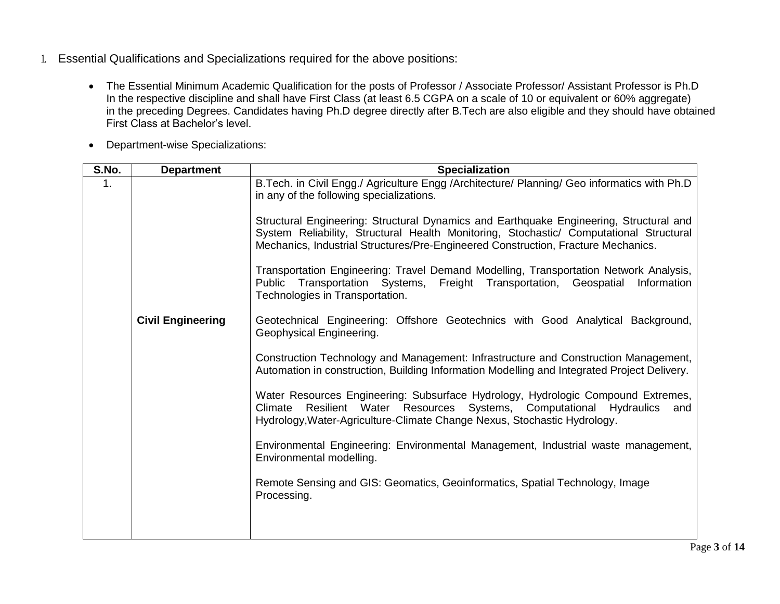- 1. Essential Qualifications and Specializations required for the above positions:
	- The Essential Minimum Academic Qualification for the posts of Professor / Associate Professor/ Assistant Professor is Ph.D In the respective discipline and shall have First Class (at least 6.5 CGPA on a scale of 10 or equivalent or 60% aggregate) in the preceding Degrees. Candidates having Ph.D degree directly after B.Tech are also eligible and they should have obtained First Class at Bachelor's level.
	- Department-wise Specializations:

| S.No. | <b>Department</b>        | <b>Specialization</b>                                                                                                                                                                                                                                                                                                                                                                                              |
|-------|--------------------------|--------------------------------------------------------------------------------------------------------------------------------------------------------------------------------------------------------------------------------------------------------------------------------------------------------------------------------------------------------------------------------------------------------------------|
| 1.    |                          | B. Tech. in Civil Engg./ Agriculture Engg / Architecture/ Planning/ Geo informatics with Ph.D<br>in any of the following specializations.<br>Structural Engineering: Structural Dynamics and Earthquake Engineering, Structural and<br>System Reliability, Structural Health Monitoring, Stochastic/ Computational Structural<br>Mechanics, Industrial Structures/Pre-Engineered Construction, Fracture Mechanics. |
|       |                          | Transportation Engineering: Travel Demand Modelling, Transportation Network Analysis,<br>Public Transportation Systems, Freight Transportation, Geospatial<br>Information<br>Technologies in Transportation.                                                                                                                                                                                                       |
|       | <b>Civil Engineering</b> | Geotechnical Engineering: Offshore Geotechnics with Good Analytical Background,<br>Geophysical Engineering.                                                                                                                                                                                                                                                                                                        |
|       |                          | Construction Technology and Management: Infrastructure and Construction Management,<br>Automation in construction, Building Information Modelling and Integrated Project Delivery.                                                                                                                                                                                                                                 |
|       |                          | Water Resources Engineering: Subsurface Hydrology, Hydrologic Compound Extremes,<br>Resilient Water Resources Systems, Computational Hydraulics<br>Climate<br>and<br>Hydrology, Water-Agriculture-Climate Change Nexus, Stochastic Hydrology.                                                                                                                                                                      |
|       |                          | Environmental Engineering: Environmental Management, Industrial waste management,<br>Environmental modelling.                                                                                                                                                                                                                                                                                                      |
|       |                          | Remote Sensing and GIS: Geomatics, Geoinformatics, Spatial Technology, Image<br>Processing.                                                                                                                                                                                                                                                                                                                        |
|       |                          |                                                                                                                                                                                                                                                                                                                                                                                                                    |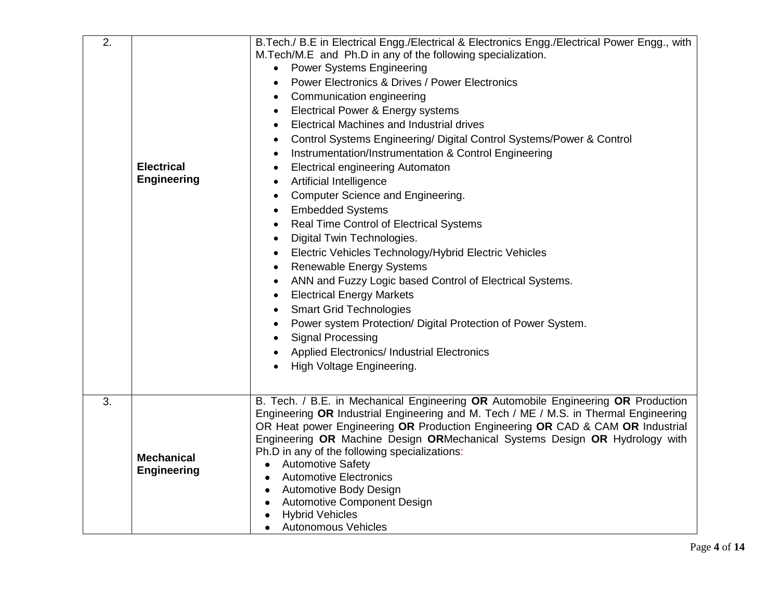| $\overline{2}$ . | <b>Electrical</b><br><b>Engineering</b> | B. Tech./ B. E in Electrical Engg./Electrical & Electronics Engg./Electrical Power Engg., with<br>M. Tech/M.E and Ph.D in any of the following specialization.<br><b>Power Systems Engineering</b><br><b>Power Electronics &amp; Drives / Power Electronics</b><br>Communication engineering<br>Electrical Power & Energy systems<br>٠<br><b>Electrical Machines and Industrial drives</b><br>$\bullet$<br>Control Systems Engineering/ Digital Control Systems/Power & Control<br>Instrumentation/Instrumentation & Control Engineering<br>$\bullet$<br><b>Electrical engineering Automaton</b><br>$\bullet$<br><b>Artificial Intelligence</b><br>$\bullet$<br>Computer Science and Engineering.<br>$\bullet$<br><b>Embedded Systems</b><br>$\bullet$<br>Real Time Control of Electrical Systems<br>$\bullet$<br>Digital Twin Technologies.<br>$\bullet$<br>Electric Vehicles Technology/Hybrid Electric Vehicles<br>$\bullet$<br><b>Renewable Energy Systems</b><br>$\bullet$<br>ANN and Fuzzy Logic based Control of Electrical Systems.<br><b>Electrical Energy Markets</b><br><b>Smart Grid Technologies</b><br>Power system Protection/ Digital Protection of Power System.<br><b>Signal Processing</b><br><b>Applied Electronics/ Industrial Electronics</b><br>High Voltage Engineering. |
|------------------|-----------------------------------------|--------------------------------------------------------------------------------------------------------------------------------------------------------------------------------------------------------------------------------------------------------------------------------------------------------------------------------------------------------------------------------------------------------------------------------------------------------------------------------------------------------------------------------------------------------------------------------------------------------------------------------------------------------------------------------------------------------------------------------------------------------------------------------------------------------------------------------------------------------------------------------------------------------------------------------------------------------------------------------------------------------------------------------------------------------------------------------------------------------------------------------------------------------------------------------------------------------------------------------------------------------------------------------------------------|
| 3.               | <b>Mechanical</b><br><b>Engineering</b> | B. Tech. / B.E. in Mechanical Engineering OR Automobile Engineering OR Production<br>Engineering OR Industrial Engineering and M. Tech / ME / M.S. in Thermal Engineering<br>OR Heat power Engineering OR Production Engineering OR CAD & CAM OR Industrial<br>Engineering OR Machine Design ORMechanical Systems Design OR Hydrology with<br>Ph.D in any of the following specializations:<br><b>Automotive Safety</b><br>$\bullet$<br><b>Automotive Electronics</b><br>$\bullet$<br>Automotive Body Design<br><b>Automotive Component Design</b><br><b>Hybrid Vehicles</b><br><b>Autonomous Vehicles</b><br>$\bullet$                                                                                                                                                                                                                                                                                                                                                                                                                                                                                                                                                                                                                                                                          |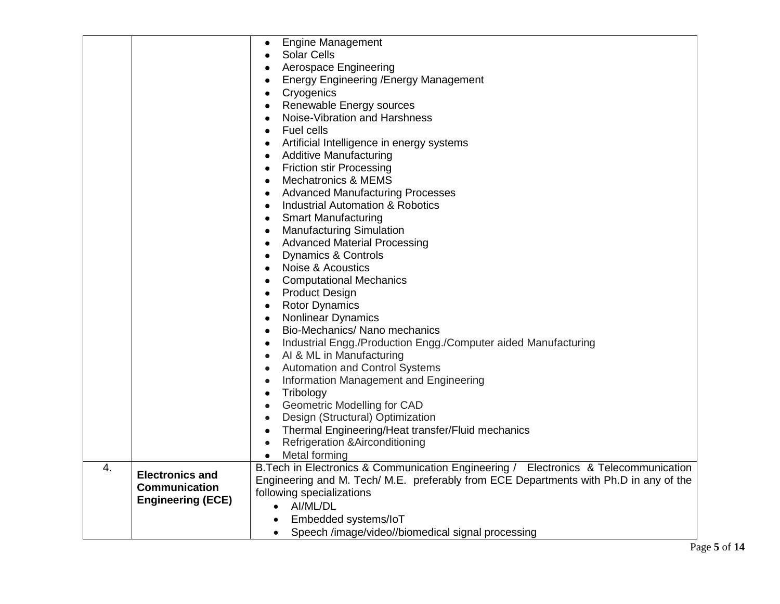|                  |                          | <b>Engine Management</b><br>$\bullet$                                                 |
|------------------|--------------------------|---------------------------------------------------------------------------------------|
|                  |                          | <b>Solar Cells</b>                                                                    |
|                  |                          | Aerospace Engineering                                                                 |
|                  |                          | <b>Energy Engineering / Energy Management</b>                                         |
|                  |                          | Cryogenics                                                                            |
|                  |                          | Renewable Energy sources                                                              |
|                  |                          | Noise-Vibration and Harshness                                                         |
|                  |                          | Fuel cells                                                                            |
|                  |                          | Artificial Intelligence in energy systems                                             |
|                  |                          | <b>Additive Manufacturing</b><br>$\bullet$                                            |
|                  |                          | <b>Friction stir Processing</b><br>$\bullet$                                          |
|                  |                          | <b>Mechatronics &amp; MEMS</b>                                                        |
|                  |                          | <b>Advanced Manufacturing Processes</b>                                               |
|                  |                          | Industrial Automation & Robotics<br>$\bullet$                                         |
|                  |                          | <b>Smart Manufacturing</b><br>$\bullet$                                               |
|                  |                          | <b>Manufacturing Simulation</b><br>$\bullet$                                          |
|                  |                          | <b>Advanced Material Processing</b>                                                   |
|                  |                          | Dynamics & Controls                                                                   |
|                  |                          | Noise & Acoustics                                                                     |
|                  |                          | <b>Computational Mechanics</b><br>$\bullet$                                           |
|                  |                          | <b>Product Design</b>                                                                 |
|                  |                          | <b>Rotor Dynamics</b><br>$\bullet$                                                    |
|                  |                          | <b>Nonlinear Dynamics</b><br>$\bullet$                                                |
|                  |                          | Bio-Mechanics/ Nano mechanics                                                         |
|                  |                          | Industrial Engg./Production Engg./Computer aided Manufacturing<br>$\bullet$           |
|                  |                          | AI & ML in Manufacturing<br>$\bullet$                                                 |
|                  |                          | <b>Automation and Control Systems</b>                                                 |
|                  |                          | Information Management and Engineering<br>$\bullet$                                   |
|                  |                          | Tribology                                                                             |
|                  |                          | <b>Geometric Modelling for CAD</b>                                                    |
|                  |                          | Design (Structural) Optimization<br>$\bullet$                                         |
|                  |                          | Thermal Engineering/Heat transfer/Fluid mechanics<br>$\bullet$                        |
|                  |                          | <b>Refrigeration &amp; Airconditioning</b><br>$\bullet$                               |
|                  |                          | Metal forming<br>$\bullet$                                                            |
| $\overline{4}$ . | <b>Electronics and</b>   | B. Tech in Electronics & Communication Engineering / Electronics & Telecommunication  |
|                  | <b>Communication</b>     | Engineering and M. Tech/ M.E. preferably from ECE Departments with Ph.D in any of the |
|                  | <b>Engineering (ECE)</b> | following specializations                                                             |
|                  |                          | • AI/ML/DL                                                                            |
|                  |                          | Embedded systems/loT                                                                  |
|                  |                          | Speech /image/video//biomedical signal processing<br>$\bullet$                        |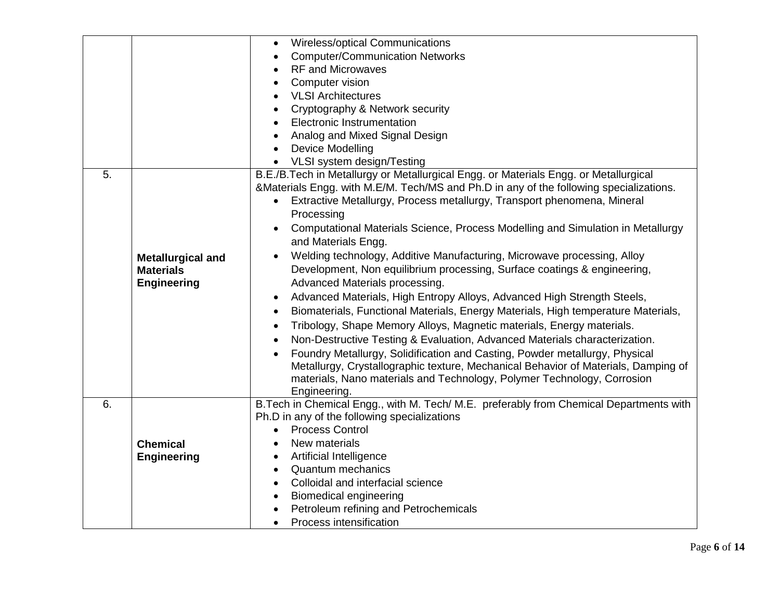|    |                          | Wireless/optical Communications<br>$\bullet$                                                   |
|----|--------------------------|------------------------------------------------------------------------------------------------|
|    |                          | <b>Computer/Communication Networks</b>                                                         |
|    |                          | <b>RF and Microwaves</b>                                                                       |
|    |                          | Computer vision                                                                                |
|    |                          | <b>VLSI Architectures</b>                                                                      |
|    |                          | Cryptography & Network security                                                                |
|    |                          | <b>Electronic Instrumentation</b>                                                              |
|    |                          | Analog and Mixed Signal Design                                                                 |
|    |                          | <b>Device Modelling</b><br>$\bullet$                                                           |
|    |                          | VLSI system design/Testing<br>$\bullet$                                                        |
| 5. |                          | B.E./B.Tech in Metallurgy or Metallurgical Engg. or Materials Engg. or Metallurgical           |
|    |                          | &Materials Engg. with M.E/M. Tech/MS and Ph.D in any of the following specializations.         |
|    |                          | Extractive Metallurgy, Process metallurgy, Transport phenomena, Mineral                        |
|    |                          | Processing                                                                                     |
|    |                          | Computational Materials Science, Process Modelling and Simulation in Metallurgy<br>$\bullet$   |
|    |                          | and Materials Engg.                                                                            |
|    | <b>Metallurgical and</b> | Welding technology, Additive Manufacturing, Microwave processing, Alloy                        |
|    | <b>Materials</b>         | Development, Non equilibrium processing, Surface coatings & engineering,                       |
|    | <b>Engineering</b>       | Advanced Materials processing.                                                                 |
|    |                          | Advanced Materials, High Entropy Alloys, Advanced High Strength Steels,                        |
|    |                          | Biomaterials, Functional Materials, Energy Materials, High temperature Materials,<br>$\bullet$ |
|    |                          | Tribology, Shape Memory Alloys, Magnetic materials, Energy materials.                          |
|    |                          | Non-Destructive Testing & Evaluation, Advanced Materials characterization.<br>$\bullet$        |
|    |                          | Foundry Metallurgy, Solidification and Casting, Powder metallurgy, Physical<br>$\bullet$       |
|    |                          | Metallurgy, Crystallographic texture, Mechanical Behavior of Materials, Damping of             |
|    |                          | materials, Nano materials and Technology, Polymer Technology, Corrosion                        |
|    |                          | Engineering.                                                                                   |
| 6. |                          | B. Tech in Chemical Engg., with M. Tech/ M.E. preferably from Chemical Departments with        |
|    |                          | Ph.D in any of the following specializations                                                   |
|    |                          | <b>Process Control</b>                                                                         |
|    | <b>Chemical</b>          | New materials<br>$\bullet$                                                                     |
|    | <b>Engineering</b>       | <b>Artificial Intelligence</b><br>$\bullet$                                                    |
|    |                          | <b>Quantum mechanics</b><br>$\bullet$                                                          |
|    |                          | Colloidal and interfacial science                                                              |
|    |                          | <b>Biomedical engineering</b><br>$\bullet$                                                     |
|    |                          | Petroleum refining and Petrochemicals                                                          |
|    |                          | Process intensification                                                                        |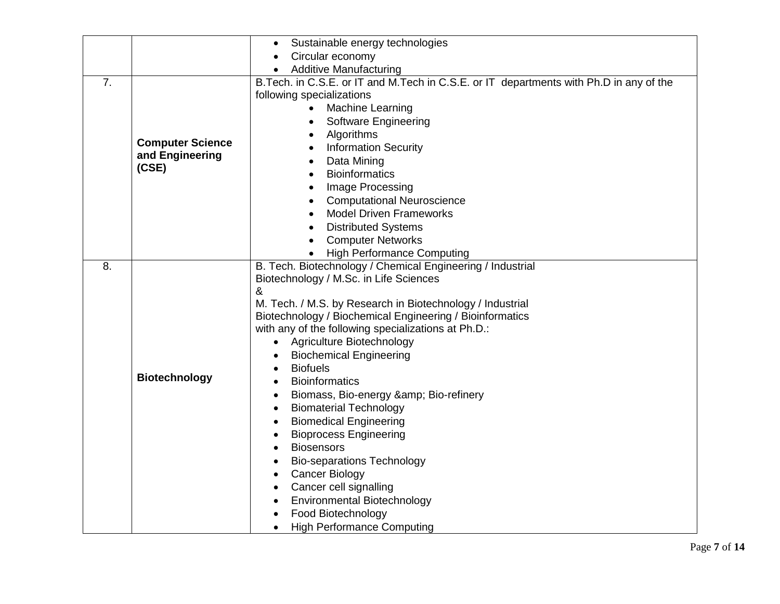|    |                                                     | Sustainable energy technologies<br>$\bullet$                                                                                                                                                                                                                                                                                                                                                                                                                                                                                                                                                                                                                                                                                                                                                                                                                                                                                       |
|----|-----------------------------------------------------|------------------------------------------------------------------------------------------------------------------------------------------------------------------------------------------------------------------------------------------------------------------------------------------------------------------------------------------------------------------------------------------------------------------------------------------------------------------------------------------------------------------------------------------------------------------------------------------------------------------------------------------------------------------------------------------------------------------------------------------------------------------------------------------------------------------------------------------------------------------------------------------------------------------------------------|
|    |                                                     | Circular economy                                                                                                                                                                                                                                                                                                                                                                                                                                                                                                                                                                                                                                                                                                                                                                                                                                                                                                                   |
|    |                                                     | <b>Additive Manufacturing</b>                                                                                                                                                                                                                                                                                                                                                                                                                                                                                                                                                                                                                                                                                                                                                                                                                                                                                                      |
| 7. | <b>Computer Science</b><br>and Engineering<br>(CSE) | B. Tech. in C.S.E. or IT and M. Tech in C.S.E. or IT departments with Ph.D in any of the<br>following specializations<br>Machine Learning<br><b>Software Engineering</b><br>Algorithms<br>$\bullet$<br><b>Information Security</b><br>Data Mining<br>$\bullet$<br><b>Bioinformatics</b><br>$\bullet$<br>Image Processing<br>$\bullet$<br><b>Computational Neuroscience</b><br>$\bullet$<br><b>Model Driven Frameworks</b><br>$\bullet$<br><b>Distributed Systems</b><br><b>Computer Networks</b>                                                                                                                                                                                                                                                                                                                                                                                                                                   |
| 8. | <b>Biotechnology</b>                                | <b>High Performance Computing</b><br>B. Tech. Biotechnology / Chemical Engineering / Industrial<br>Biotechnology / M.Sc. in Life Sciences<br>&<br>M. Tech. / M.S. by Research in Biotechnology / Industrial<br>Biotechnology / Biochemical Engineering / Bioinformatics<br>with any of the following specializations at Ph.D.:<br>Agriculture Biotechnology<br><b>Biochemical Engineering</b><br><b>Biofuels</b><br>$\bullet$<br><b>Bioinformatics</b><br>Biomass, Bio-energy & Bio-refinery<br>$\bullet$<br><b>Biomaterial Technology</b><br>$\bullet$<br><b>Biomedical Engineering</b><br>$\bullet$<br><b>Bioprocess Engineering</b><br><b>Biosensors</b><br>$\bullet$<br><b>Bio-separations Technology</b><br>$\bullet$<br><b>Cancer Biology</b><br>$\bullet$<br>Cancer cell signalling<br>$\bullet$<br><b>Environmental Biotechnology</b><br>$\bullet$<br>Food Biotechnology<br><b>High Performance Computing</b><br>$\bullet$ |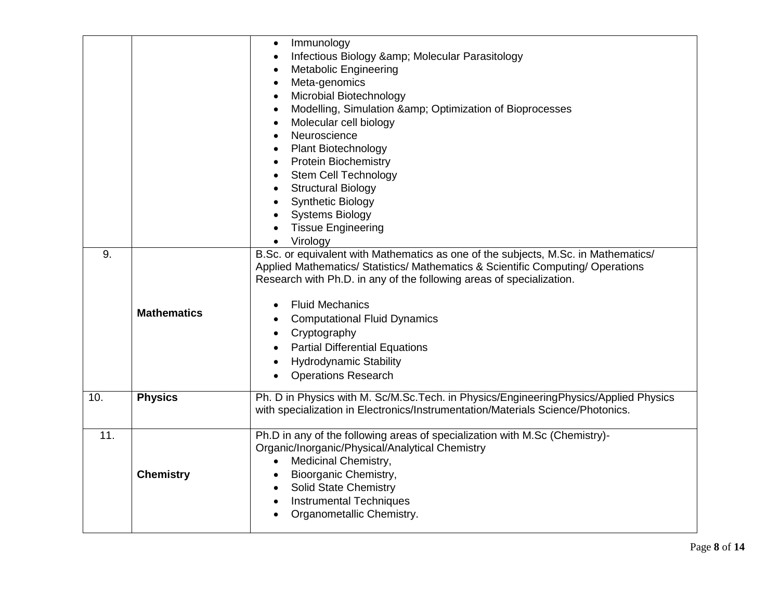|                  |                    | Immunology<br>$\bullet$<br>Infectious Biology & Molecular Parasitology<br>$\bullet$<br><b>Metabolic Engineering</b><br>$\bullet$<br>Meta-genomics<br>$\bullet$<br>Microbial Biotechnology<br>Modelling, Simulation & Optimization of Bioprocesses<br>Molecular cell biology<br>Neuroscience<br>Plant Biotechnology<br><b>Protein Biochemistry</b>                                                                                      |
|------------------|--------------------|----------------------------------------------------------------------------------------------------------------------------------------------------------------------------------------------------------------------------------------------------------------------------------------------------------------------------------------------------------------------------------------------------------------------------------------|
|                  |                    | <b>Stem Cell Technology</b>                                                                                                                                                                                                                                                                                                                                                                                                            |
|                  |                    | <b>Structural Biology</b>                                                                                                                                                                                                                                                                                                                                                                                                              |
|                  |                    | <b>Synthetic Biology</b>                                                                                                                                                                                                                                                                                                                                                                                                               |
|                  |                    | <b>Systems Biology</b><br><b>Tissue Engineering</b>                                                                                                                                                                                                                                                                                                                                                                                    |
|                  |                    | Virology                                                                                                                                                                                                                                                                                                                                                                                                                               |
| $\overline{9}$ . | <b>Mathematics</b> | B.Sc. or equivalent with Mathematics as one of the subjects, M.Sc. in Mathematics/<br>Applied Mathematics/ Statistics/ Mathematics & Scientific Computing/ Operations<br>Research with Ph.D. in any of the following areas of specialization.<br><b>Fluid Mechanics</b><br><b>Computational Fluid Dynamics</b><br>Cryptography<br><b>Partial Differential Equations</b><br><b>Hydrodynamic Stability</b><br><b>Operations Research</b> |
| 10.              | <b>Physics</b>     | Ph. D in Physics with M. Sc/M.Sc.Tech. in Physics/EngineeringPhysics/Applied Physics<br>with specialization in Electronics/Instrumentation/Materials Science/Photonics.                                                                                                                                                                                                                                                                |
| 11.              | <b>Chemistry</b>   | Ph.D in any of the following areas of specialization with M.Sc (Chemistry)-<br>Organic/Inorganic/Physical/Analytical Chemistry<br>Medicinal Chemistry,<br>Bioorganic Chemistry,<br>Solid State Chemistry<br>$\bullet$<br><b>Instrumental Techniques</b><br>$\bullet$<br>Organometallic Chemistry.                                                                                                                                      |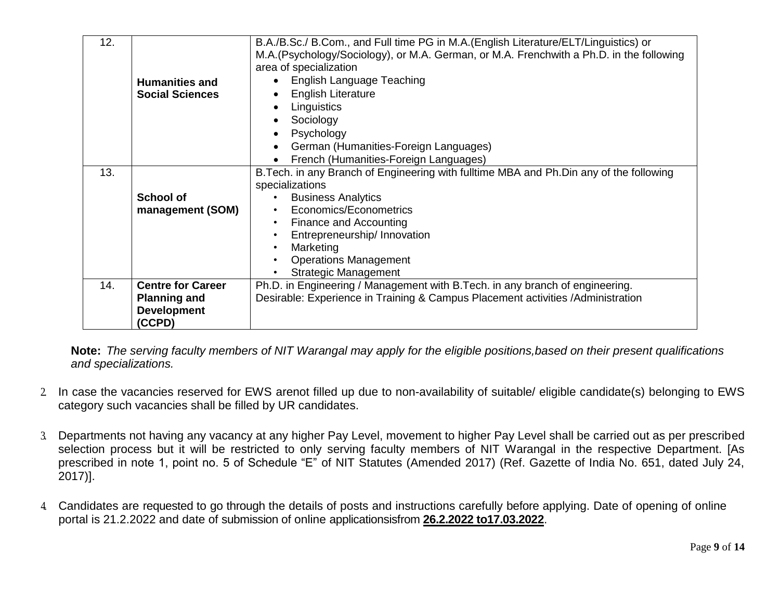| 12. |                          | B.A./B.Sc./ B.Com., and Full time PG in M.A.(English Literature/ELT/Linguistics) or      |
|-----|--------------------------|------------------------------------------------------------------------------------------|
|     |                          | M.A. (Psychology/Sociology), or M.A. German, or M.A. Frenchwith a Ph.D. in the following |
|     |                          | area of specialization                                                                   |
|     | <b>Humanities and</b>    | <b>English Language Teaching</b>                                                         |
|     | <b>Social Sciences</b>   | <b>English Literature</b>                                                                |
|     |                          | Linguistics<br>$\bullet$                                                                 |
|     |                          | Sociology                                                                                |
|     |                          | Psychology                                                                               |
|     |                          | German (Humanities-Foreign Languages)<br>$\bullet$                                       |
|     |                          | French (Humanities-Foreign Languages)                                                    |
| 13. |                          | B. Tech. in any Branch of Engineering with fulltime MBA and Ph. Din any of the following |
|     |                          | specializations                                                                          |
|     | <b>School of</b>         | <b>Business Analytics</b>                                                                |
|     | management (SOM)         | Economics/Econometrics<br>$\bullet$                                                      |
|     |                          | Finance and Accounting                                                                   |
|     |                          | Entrepreneurship/ Innovation                                                             |
|     |                          | Marketing                                                                                |
|     |                          | <b>Operations Management</b>                                                             |
|     |                          | <b>Strategic Management</b>                                                              |
| 14. | <b>Centre for Career</b> | Ph.D. in Engineering / Management with B.Tech. in any branch of engineering.             |
|     | <b>Planning and</b>      | Desirable: Experience in Training & Campus Placement activities / Administration         |
|     | <b>Development</b>       |                                                                                          |
|     | (CCPD)                   |                                                                                          |

**Note:** *The serving faculty members of NIT Warangal may apply for the eligible positions,based on their present qualifications and specializations.*

- 2. In case the vacancies reserved for EWS arenot filled up due to non-availability of suitable/ eligible candidate(s) belonging to EWS category such vacancies shall be filled by UR candidates.
- 3. Departments not having any vacancy at any higher Pay Level, movement to higher Pay Level shall be carried out as per prescribed selection process but it will be restricted to only serving faculty members of NIT Warangal in the respective Department. [As prescribed in note 1, point no. 5 of Schedule "E" of NIT Statutes (Amended 2017) (Ref. Gazette of India No. 651, dated July 24, 2017)].
- 4. Candidates are requested to go through the details of posts and instructions carefully before applying. Date of opening of online portal is 21.2.2022 and date of submission of online applicationsisfrom **26.2.2022 to17.03.2022**.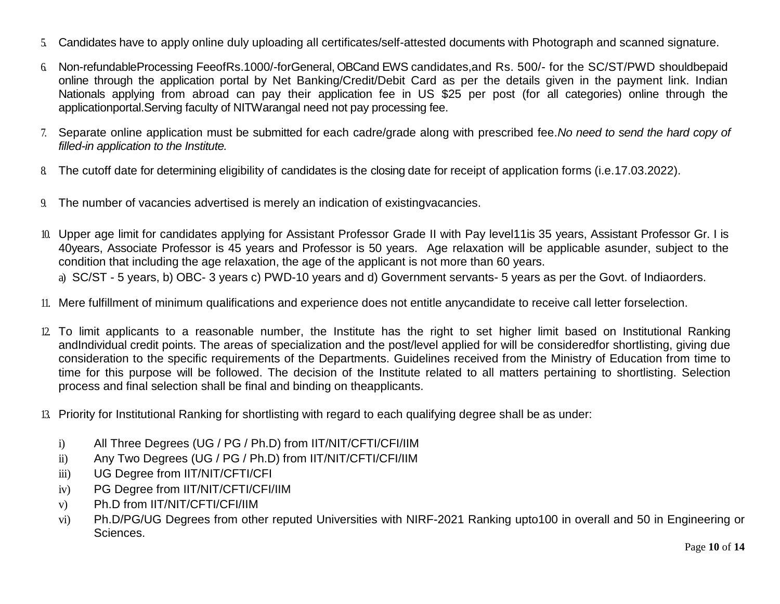- 5. Candidates have to apply online duly uploading all certificates/self-attested documents with Photograph and scanned signature.
- 6. Non-refundableProcessing FeeofRs.1000/-forGeneral, OBCand EWS candidates,and Rs. 500/- for the SC/ST/PWD shouldbepaid online through the application portal by Net Banking/Credit/Debit Card as per the details given in the payment link. Indian Nationals applying from abroad can pay their application fee in US \$25 per post (for all categories) online through the applicationportal.Serving faculty of NITWarangal need not pay processing fee.
- 7. Separate online application must be submitted for each cadre/grade along with prescribed fee.*No need to send the hard copy of filled-in application to the Institute.*
- 8. The cutoff date for determining eligibility of candidates is the closing date for receipt of application forms (i.e.17.03.2022).
- 9. The number of vacancies advertised is merely an indication of existingvacancies.
- 10. Upper age limit for candidates applying for Assistant Professor Grade II with Pay level11is 35 years, Assistant Professor Gr. I is 40years, Associate Professor is 45 years and Professor is 50 years. Age relaxation will be applicable asunder, subject to the condition that including the age relaxation, the age of the applicant is not more than 60 years. a) SC/ST - 5 years, b) OBC- 3 years c) PWD-10 years and d) Government servants- 5 years as per the Govt. of Indiaorders.
- 
- 11. Mere fulfillment of minimum qualifications and experience does not entitle anycandidate to receive call letter forselection.
- 12. To limit applicants to a reasonable number, the Institute has the right to set higher limit based on Institutional Ranking andIndividual credit points. The areas of specialization and the post/level applied for will be consideredfor shortlisting, giving due consideration to the specific requirements of the Departments. Guidelines received from the Ministry of Education from time to time for this purpose will be followed. The decision of the Institute related to all matters pertaining to shortlisting. Selection process and final selection shall be final and binding on theapplicants.
- 13. Priority for Institutional Ranking for shortlisting with regard to each qualifying degree shall be as under:
	- i) All Three Degrees (UG / PG / Ph.D) from IIT/NIT/CFTI/CFI/IIM
	- ii) Any Two Degrees (UG / PG / Ph.D) from IIT/NIT/CFTI/CFI/IIM
	- iii) UG Degree from IIT/NIT/CFTI/CFI
	- iv) PG Degree from IIT/NIT/CFTI/CFI/IIM
	- v) Ph.D from IIT/NIT/CFTI/CFI/IIM
	- vi) Ph.D/PG/UG Degrees from other reputed Universities with NIRF-2021 Ranking upto100 in overall and 50 in Engineering or Sciences.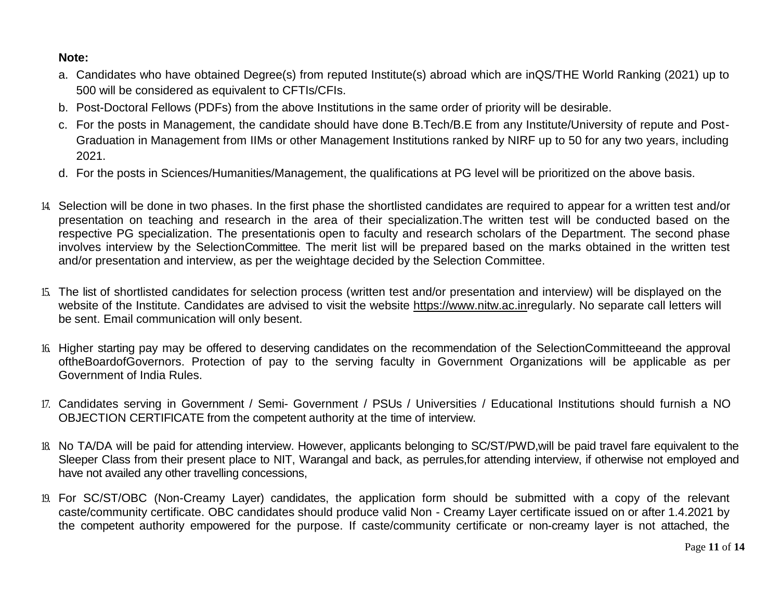#### **Note:**

- a. Candidates who have obtained Degree(s) from reputed Institute(s) abroad which are inQS/THE World Ranking (2021) up to 500 will be considered as equivalent to CFTIs/CFIs.
- b. Post-Doctoral Fellows (PDFs) from the above Institutions in the same order of priority will be desirable.
- c. For the posts in Management, the candidate should have done B.Tech/B.E from any Institute/University of repute and Post-Graduation in Management from IIMs or other Management Institutions ranked by NIRF up to 50 for any two years, including 2021.
- d. For the posts in Sciences/Humanities/Management, the qualifications at PG level will be prioritized on the above basis.
- 14. Selection will be done in two phases. In the first phase the shortlisted candidates are required to appear for a written test and/or presentation on teaching and research in the area of their specialization.The written test will be conducted based on the respective PG specialization. The presentationis open to faculty and research scholars of the Department. The second phase involves interview by the SelectionCommittee. The merit list will be prepared based on the marks obtained in the written test and/or presentation and interview, as per the weightage decided by the Selection Committee.
- 15. The list of shortlisted candidates for selection process (written test and/or presentation and interview) will be displayed on the website of the Institute. Candidates are advised to visit the website [https://www.nitw.ac.inr](https://www.nitw.ac.in/)egularly. No separate call letters will be sent. Email communication will only besent.
- 16. Higher starting pay may be offered to deserving candidates on the recommendation of the SelectionCommitteeand the approval oftheBoardofGovernors. Protection of pay to the serving faculty in Government Organizations will be applicable as per Government of India Rules.
- 17. Candidates serving in Government / Semi- Government / PSUs / Universities / Educational Institutions should furnish a NO OBJECTION CERTIFICATE from the competent authority at the time of interview.
- 18. No TA/DA will be paid for attending interview. However, applicants belonging to SC/ST/PWD,will be paid travel fare equivalent to the Sleeper Class from their present place to NIT, Warangal and back, as perrules,for attending interview, if otherwise not employed and have not availed any other travelling concessions,
- 19. For SC/ST/OBC (Non-Creamy Layer) candidates, the application form should be submitted with a copy of the relevant caste/community certificate. OBC candidates should produce valid Non - Creamy Layer certificate issued on or after 1.4.2021 by the competent authority empowered for the purpose. If caste/community certificate or non-creamy layer is not attached, the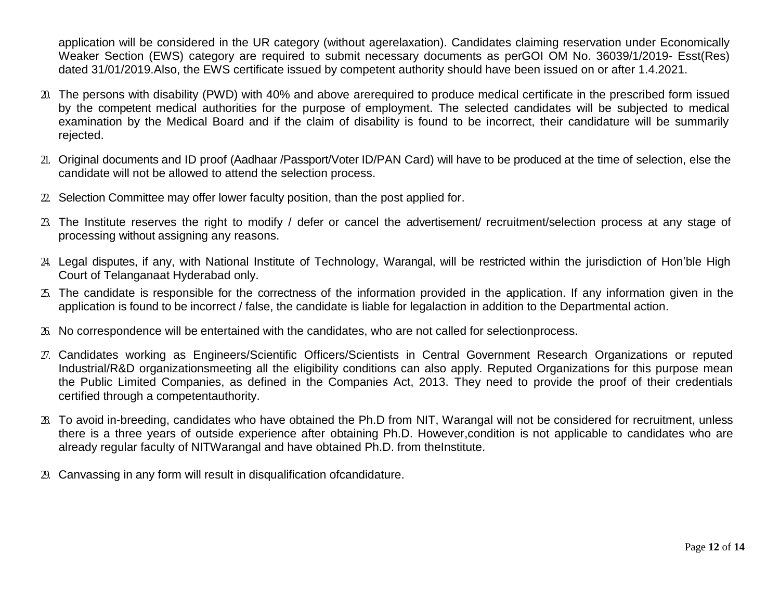application will be considered in the UR category (without agerelaxation). Candidates claiming reservation under Economically Weaker Section (EWS) category are required to submit necessary documents as perGOI OM No. 36039/1/2019- Esst(Res) dated 31/01/2019.Also, the EWS certificate issued by competent authority should have been issued on or after 1.4.2021.

- 20. The persons with disability (PWD) with 40% and above arerequired to produce medical certificate in the prescribed form issued by the competent medical authorities for the purpose of employment. The selected candidates will be subjected to medical examination by the Medical Board and if the claim of disability is found to be incorrect, their candidature will be summarily rejected.
- 21. Original documents and ID proof (Aadhaar /Passport/Voter ID/PAN Card) will have to be produced at the time of selection, else the candidate will not be allowed to attend the selection process.
- $22$ . Selection Committee may offer lower faculty position, than the post applied for.
- 23. The Institute reserves the right to modify / defer or cancel the advertisement/ recruitment/selection process at any stage of processing without assigning any reasons.
- 24. Legal disputes, if any, with National Institute of Technology, Warangal, will be restricted within the jurisdiction of Hon'ble High Court of Telanganaat Hyderabad only.
- 25. The candidate is responsible for the correctness of the information provided in the application. If any information given in the application is found to be incorrect / false, the candidate is liable for legalaction in addition to the Departmental action.
- 26. No correspondence will be entertained with the candidates, who are not called for selectionprocess.
- 27. Candidates working as Engineers/Scientific Officers/Scientists in Central Government Research Organizations or reputed Industrial/R&D organizationsmeeting all the eligibility conditions can also apply. Reputed Organizations for this purpose mean the Public Limited Companies, as defined in the Companies Act, 2013. They need to provide the proof of their credentials certified through a competentauthority.
- 28. To avoid in-breeding, candidates who have obtained the Ph.D from NIT, Warangal will not be considered for recruitment, unless there is a three years of outside experience after obtaining Ph.D. However,condition is not applicable to candidates who are already regular faculty of NITWarangal and have obtained Ph.D. from theInstitute.
- 29. Canvassing in any form will result in disqualification ofcandidature.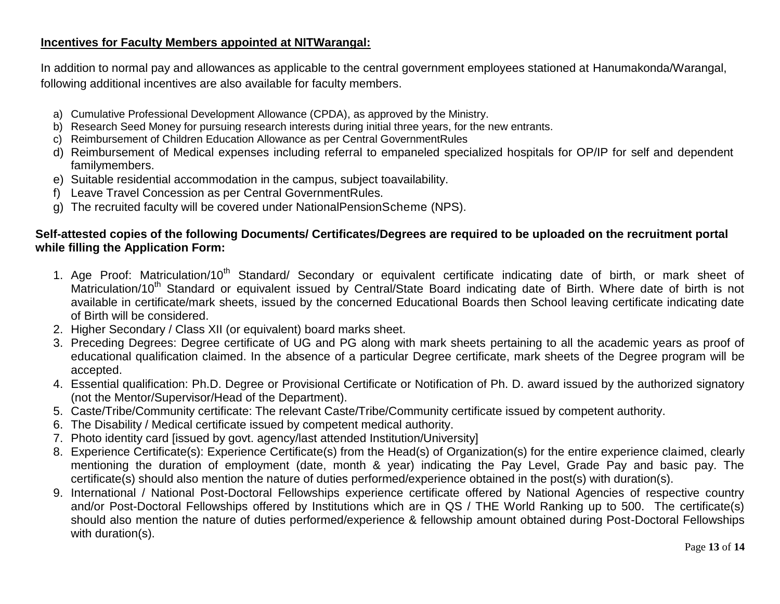#### **Incentives for Faculty Members appointed at NITWarangal:**

In addition to normal pay and allowances as applicable to the central government employees stationed at Hanumakonda/Warangal, following additional incentives are also available for faculty members.

- a) Cumulative Professional Development Allowance (CPDA), as approved by the Ministry.
- b) Research Seed Money for pursuing research interests during initial three years, for the new entrants.
- c) Reimbursement of Children Education Allowance as per Central GovernmentRules
- d) Reimbursement of Medical expenses including referral to empaneled specialized hospitals for OP/IP for self and dependent familymembers.
- e) Suitable residential accommodation in the campus, subject toavailability.
- f) Leave Travel Concession as per Central GovernmentRules.
- g) The recruited faculty will be covered under NationalPensionScheme (NPS).

### **Self-attested copies of the following Documents/ Certificates/Degrees are required to be uploaded on the recruitment portal while filling the Application Form:**

- 1. Age Proof: Matriculation/10<sup>th</sup> Standard/ Secondary or equivalent certificate indicating date of birth, or mark sheet of Matriculation/10<sup>th</sup> Standard or equivalent issued by Central/State Board indicating date of Birth. Where date of birth is not available in certificate/mark sheets, issued by the concerned Educational Boards then School leaving certificate indicating date of Birth will be considered.
- 2. Higher Secondary / Class XII (or equivalent) board marks sheet.
- 3. Preceding Degrees: Degree certificate of UG and PG along with mark sheets pertaining to all the academic years as proof of educational qualification claimed. In the absence of a particular Degree certificate, mark sheets of the Degree program will be accepted.
- 4. Essential qualification: Ph.D. Degree or Provisional Certificate or Notification of Ph. D. award issued by the authorized signatory (not the Mentor/Supervisor/Head of the Department).
- 5. Caste/Tribe/Community certificate: The relevant Caste/Tribe/Community certificate issued by competent authority.
- 6. The Disability / Medical certificate issued by competent medical authority.
- 7. Photo identity card [issued by govt. agency/last attended Institution/University]
- 8. Experience Certificate(s): Experience Certificate(s) from the Head(s) of Organization(s) for the entire experience claimed, clearly mentioning the duration of employment (date, month & year) indicating the Pay Level, Grade Pay and basic pay. The certificate(s) should also mention the nature of duties performed/experience obtained in the post(s) with duration(s).
- 9. International / National Post-Doctoral Fellowships experience certificate offered by National Agencies of respective country and/or Post-Doctoral Fellowships offered by Institutions which are in QS / THE World Ranking up to 500. The certificate(s) should also mention the nature of duties performed/experience & fellowship amount obtained during Post-Doctoral Fellowships with duration(s).